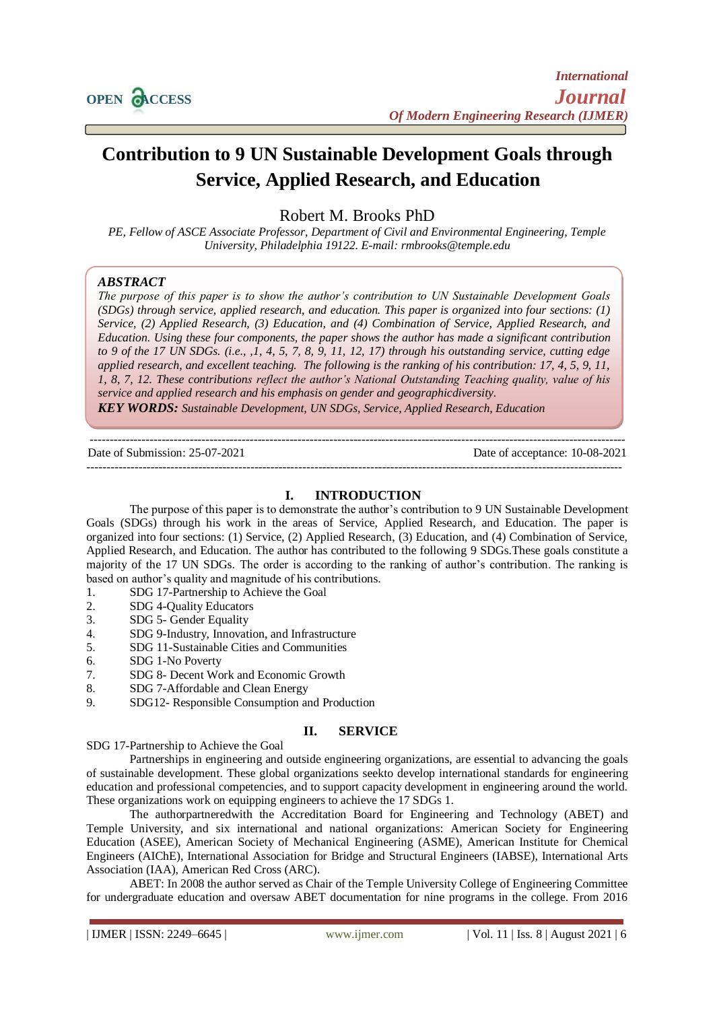

# **Contribution to 9 UN Sustainable Development Goals through Service, Applied Research, and Education**

Robert M. Brooks PhD

*PE, Fellow of ASCE Associate Professor, Department of Civil and Environmental Engineering, Temple University, Philadelphia 19122. E-mail: rmbrooks@temple.edu*

# *ABSTRACT*

*The purpose of this paper is to show the author's contribution to UN Sustainable Development Goals (SDGs) through service, applied research, and education. This paper is organized into four sections: (1) Service, (2) Applied Research, (3) Education, and (4) Combination of Service, Applied Research, and Education. Using these four components, the paper shows the author has made a significant contribution to 9 of the 17 UN SDGs. (i.e., ,1, 4, 5, 7, 8, 9, 11, 12, 17) through his outstanding service, cutting edge applied research, and excellent teaching. The following is the ranking of his contribution: 17, 4, 5, 9, 11, 1, 8, 7, 12. These contributions reflect the author's National Outstanding Teaching quality, value of his service and applied research and his emphasis on gender and geographicdiversity.* 

*KEY WORDS: Sustainable Development, UN SDGs, Service, Applied Research, Education*

--------------------------------------------------------------------------------------------------------------------------------------

Date of Submission: 25-07-2021 Date of acceptance: 10-08-2021 --------------------------------------------------------------------------------------------------------------------------------------

## **I. INTRODUCTION**

The purpose of this paper is to demonstrate the author's contribution to 9 UN Sustainable Development Goals (SDGs) through his work in the areas of Service, Applied Research, and Education. The paper is organized into four sections: (1) Service, (2) Applied Research, (3) Education, and (4) Combination of Service, Applied Research, and Education. The author has contributed to the following 9 SDGs.These goals constitute a majority of the 17 UN SDGs. The order is according to the ranking of author's contribution. The ranking is based on author's quality and magnitude of his contributions.

- 1. SDG 17-Partnership to Achieve the Goal
- 2. SDG 4-Quality Educators
- 3. SDG 5- Gender Equality
- 4. SDG 9-Industry, Innovation, and Infrastructure
- 5. SDG 11-Sustainable Cities and Communities
- 6. SDG 1-No Poverty
- 7. SDG 8- Decent Work and Economic Growth
- 8. SDG 7-Affordable and Clean Energy
- 9. SDG12- Responsible Consumption and Production

# **II. SERVICE**

SDG 17-Partnership to Achieve the Goal

Partnerships in engineering and outside engineering organizations, are essential to advancing the goals of sustainable development. These global organizations seekto develop international standards for engineering education and professional competencies, and to support capacity development in engineering around the world. These organizations work on equipping engineers to achieve the 17 SDGs 1.

The authorpartneredwith the Accreditation Board for Engineering and Technology (ABET) and Temple University, and six international and national organizations: American Society for Engineering Education (ASEE), American Society of Mechanical Engineering (ASME), American Institute for Chemical Engineers (AIChE), International Association for Bridge and Structural Engineers (IABSE), International Arts Association (IAA), American Red Cross (ARC).

ABET: In 2008 the author served as Chair of the Temple University College of Engineering Committee for undergraduate education and oversaw ABET documentation for nine programs in the college. From 2016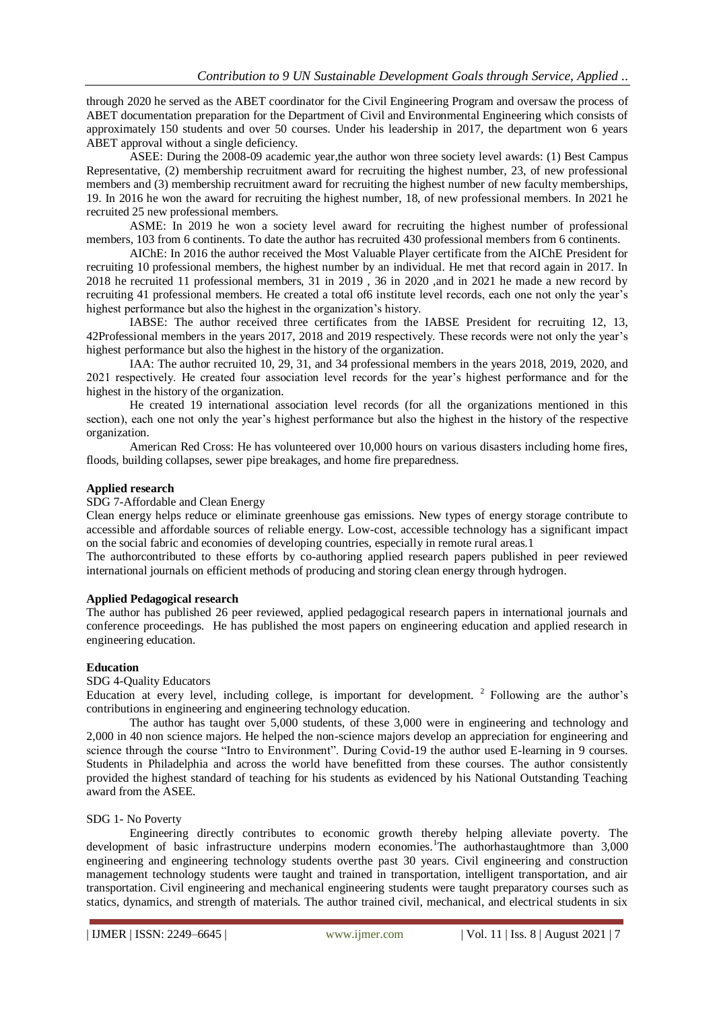through 2020 he served as the ABET coordinator for the Civil Engineering Program and oversaw the process of ABET documentation preparation for the Department of Civil and Environmental Engineering which consists of approximately 150 students and over 50 courses. Under his leadership in 2017, the department won 6 years ABET approval without a single deficiency.

ASEE: During the 2008-09 academic year,the author won three society level awards: (1) Best Campus Representative, (2) membership recruitment award for recruiting the highest number, 23, of new professional members and (3) membership recruitment award for recruiting the highest number of new faculty memberships, 19. In 2016 he won the award for recruiting the highest number, 18, of new professional members. In 2021 he recruited 25 new professional members.

ASME: In 2019 he won a society level award for recruiting the highest number of professional members, 103 from 6 continents. To date the author has recruited 430 professional members from 6 continents.

AIChE: In 2016 the author received the Most Valuable Player certificate from the AIChE President for recruiting 10 professional members, the highest number by an individual. He met that record again in 2017. In 2018 he recruited 11 professional members, 31 in 2019 , 36 in 2020 ,and in 2021 he made a new record by recruiting 41 professional members. He created a total of6 institute level records, each one not only the year's highest performance but also the highest in the organization's history.

IABSE: The author received three certificates from the IABSE President for recruiting 12, 13, 42Professional members in the years 2017, 2018 and 2019 respectively. These records were not only the year's highest performance but also the highest in the history of the organization.

IAA: The author recruited 10, 29, 31, and 34 professional members in the years 2018, 2019, 2020, and 2021 respectively. He created four association level records for the year's highest performance and for the highest in the history of the organization.

He created 19 international association level records (for all the organizations mentioned in this section), each one not only the year's highest performance but also the highest in the history of the respective organization.

American Red Cross: He has volunteered over 10,000 hours on various disasters including home fires, floods, building collapses, sewer pipe breakages, and home fire preparedness.

## **Applied research**

SDG 7-Affordable and Clean Energy

Clean energy helps reduce or eliminate greenhouse gas emissions. New types of energy storage contribute to accessible and affordable sources of reliable energy. Low-cost, accessible technology has a significant impact on the social fabric and economies of developing countries, especially in remote rural areas.1

The authorcontributed to these efforts by co-authoring applied research papers published in peer reviewed international journals on efficient methods of producing and storing clean energy through hydrogen.

# **Applied Pedagogical research**

The author has published 26 peer reviewed, applied pedagogical research papers in international journals and conference proceedings. He has published the most papers on engineering education and applied research in engineering education.

## **Education**

#### SDG 4-Quality Educators

Education at every level, including college, is important for development.  $2$  Following are the author's contributions in engineering and engineering technology education.

The author has taught over 5,000 students, of these 3,000 were in engineering and technology and 2,000 in 40 non science majors. He helped the non-science majors develop an appreciation for engineering and science through the course "Intro to Environment". During Covid-19 the author used E-learning in 9 courses. Students in Philadelphia and across the world have benefitted from these courses. The author consistently provided the highest standard of teaching for his students as evidenced by his National Outstanding Teaching award from the ASEE.

# SDG 1- No Poverty

Engineering directly contributes to economic growth thereby helping alleviate poverty. The development of basic infrastructure underpins modern economies.<sup>1</sup>The authorhastaughtmore than 3,000 engineering and engineering technology students overthe past 30 years. Civil engineering and construction management technology students were taught and trained in transportation, intelligent transportation, and air transportation. Civil engineering and mechanical engineering students were taught preparatory courses such as statics, dynamics, and strength of materials. The author trained civil, mechanical, and electrical students in six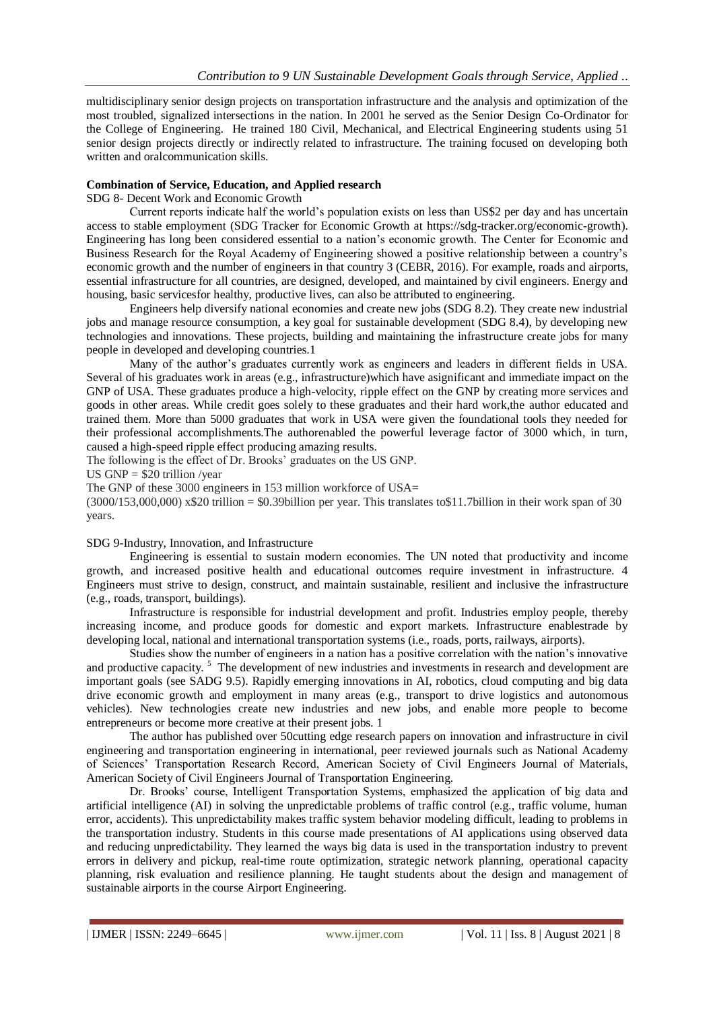multidisciplinary senior design projects on transportation infrastructure and the analysis and optimization of the most troubled, signalized intersections in the nation. In 2001 he served as the Senior Design Co-Ordinator for the College of Engineering. He trained 180 Civil, Mechanical, and Electrical Engineering students using 51 senior design projects directly or indirectly related to infrastructure. The training focused on developing both written and oralcommunication skills.

#### **Combination of Service, Education, and Applied research**

SDG 8- Decent Work and Economic Growth

Current reports indicate half the world's population exists on less than US\$2 per day and has uncertain access to stable employment (SDG Tracker for Economic Growth at [https://sdg-tracker.org/economic-growth\)](https://sdg-tracker.org/economic-growth). Engineering has long been considered essential to a nation's economic growth. The Center for Economic and Business Research for the Royal Academy of Engineering showed a positive relationship between a country's economic growth and the number of engineers in that country 3 (CEBR, 2016). For example, roads and airports, essential infrastructure for all countries, are designed, developed, and maintained by civil engineers. Energy and housing, basic servicesfor healthy, productive lives, can also be attributed to engineering.

Engineers help diversify national economies and create new jobs (SDG 8.2). They create new industrial jobs and manage resource consumption, a key goal for sustainable development (SDG 8.4), by developing new technologies and innovations. These projects, building and maintaining the infrastructure create jobs for many people in developed and developing countries.1

Many of the author's graduates currently work as engineers and leaders in different fields in USA. Several of his graduates work in areas (e.g., infrastructure)which have asignificant and immediate impact on the GNP of USA. These graduates produce a high-velocity, ripple effect on the GNP by creating more services and goods in other areas. While credit goes solely to these graduates and their hard work,the author educated and trained them. More than 5000 graduates that work in USA were given the foundational tools they needed for their professional accomplishments.The authorenabled the powerful leverage factor of 3000 which, in turn, caused a high-speed ripple effect producing amazing results.

The following is the effect of Dr. Brooks' graduates on the US GNP.

US GNP  $=$  \$20 trillion /year

The GNP of these 3000 engineers in 153 million workforce of USA=

 $(3000/153,000,000)$  x\$20 trillion = \$0.39billion per year. This translates to\$11.7billion in their work span of 30 years.

SDG 9-Industry, Innovation, and Infrastructure

Engineering is essential to sustain modern economies. The UN noted that productivity and income growth, and increased positive health and educational outcomes require investment in infrastructure. 4 Engineers must strive to design, construct, and maintain sustainable, resilient and inclusive the infrastructure (e.g., roads, transport, buildings).

Infrastructure is responsible for industrial development and profit. Industries employ people, thereby increasing income, and produce goods for domestic and export markets. Infrastructure enablestrade by developing local, national and international transportation systems (i.e., roads, ports, railways, airports).

Studies show the number of engineers in a nation has a positive correlation with the nation's innovative and productive capacity.<sup>5</sup> The development of new industries and investments in research and development are important goals (see SADG 9.5). Rapidly emerging innovations in AI, robotics, cloud computing and big data drive economic growth and employment in many areas (e.g., transport to drive logistics and autonomous vehicles). New technologies create new industries and new jobs, and enable more people to become entrepreneurs or become more creative at their present jobs. 1

The author has published over 50cutting edge research papers on innovation and infrastructure in civil engineering and transportation engineering in international, peer reviewed journals such as National Academy of Sciences' Transportation Research Record, American Society of Civil Engineers Journal of Materials, American Society of Civil Engineers Journal of Transportation Engineering.

Dr. Brooks' course, Intelligent Transportation Systems, emphasized the application of big data and artificial intelligence (AI) in solving the unpredictable problems of traffic control (e.g., traffic volume, human error, accidents). This unpredictability makes traffic system behavior modeling difficult, leading to problems in the transportation industry. Students in this course made presentations of AI applications using observed data and reducing unpredictability. They learned the ways big data is used in the transportation industry to prevent errors in delivery and pickup, real-time route optimization, strategic network planning, operational capacity planning, risk evaluation and resilience planning. He taught students about the design and management of sustainable airports in the course Airport Engineering.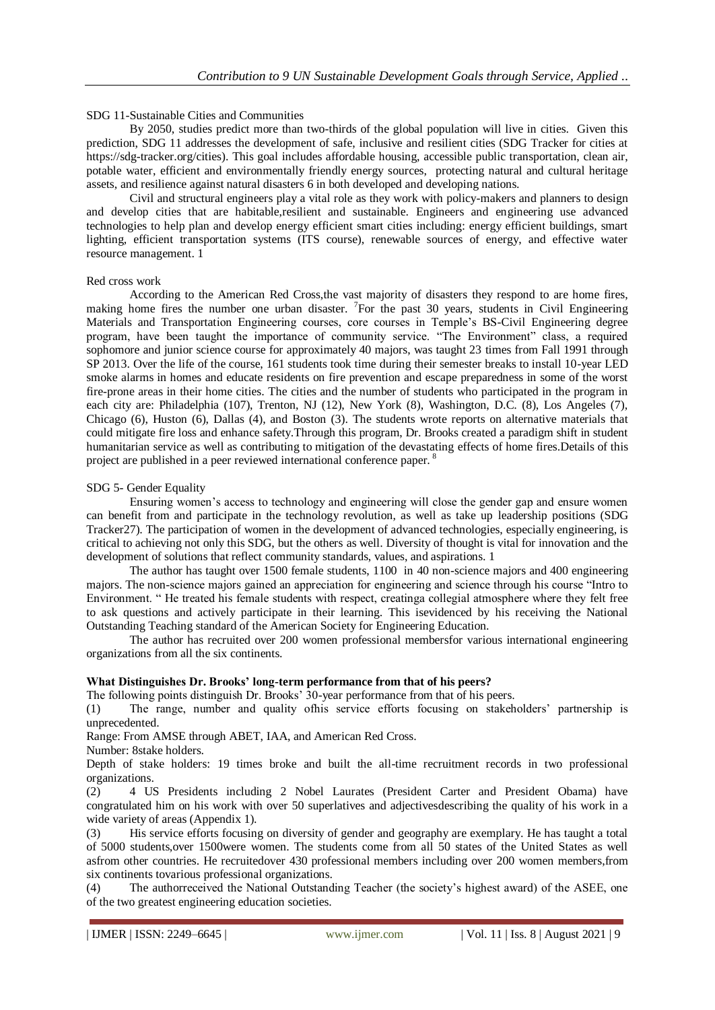## SDG 11-Sustainable Cities and Communities

By 2050, studies predict more than two-thirds of the global population will live in cities. Given this prediction, SDG 11 addresses the development of safe, inclusive and resilient cities (SDG Tracker for cities at [https://sdg-tracker.org/cities\)](https://sdg-tracker.org/cities). This goal includes affordable housing, accessible public transportation, clean air, potable water, efficient and environmentally friendly energy sources, protecting natural and cultural heritage assets, and resilience against natural disasters 6 in both developed and developing nations.

Civil and structural engineers play a vital role as they work with policy-makers and planners to design and develop cities that are habitable,resilient and sustainable. Engineers and engineering use advanced technologies to help plan and develop energy efficient smart cities including: energy efficient buildings, smart lighting, efficient transportation systems (ITS course), renewable sources of energy, and effective water resource management. 1

### Red cross work

According to the American Red Cross,the vast majority of disasters they respond to are home fires, making home fires the number one urban disaster. <sup>7</sup>For the past 30 years, students in Civil Engineering Materials and Transportation Engineering courses, core courses in Temple's BS-Civil Engineering degree program, have been taught the importance of community service. "The Environment" class, a required sophomore and junior science course for approximately 40 majors, was taught 23 times from Fall 1991 through SP 2013. Over the life of the course, 161 students took time during their semester breaks to install 10-year LED smoke alarms in homes and educate residents on fire prevention and escape preparedness in some of the worst fire-prone areas in their home cities. The cities and the number of students who participated in the program in each city are: Philadelphia (107), Trenton, NJ (12), New York (8), Washington, D.C. (8), Los Angeles (7), Chicago (6), Huston (6), Dallas (4), and Boston (3). The students wrote reports on alternative materials that could mitigate fire loss and enhance safety.Through this program, Dr. Brooks created a paradigm shift in student humanitarian service as well as contributing to mitigation of the devastating effects of home fires.Details of this project are published in a peer reviewed international conference paper. <sup>8</sup>

#### SDG 5- Gender Equality

Ensuring women's access to technology and engineering will close the gender gap and ensure women can benefit from and participate in the technology revolution, as well as take up leadership positions (SDG Tracker27). The participation of women in the development of advanced technologies, especially engineering, is critical to achieving not only this SDG, but the others as well. Diversity of thought is vital for innovation and the development of solutions that reflect community standards, values, and aspirations. 1

The author has taught over 1500 female students, 1100 in 40 non-science majors and 400 engineering majors. The non-science majors gained an appreciation for engineering and science through his course "Intro to Environment. " He treated his female students with respect, creatinga collegial atmosphere where they felt free to ask questions and actively participate in their learning. This isevidenced by his receiving the National Outstanding Teaching standard of the American Society for Engineering Education.

The author has recruited over 200 women professional membersfor various international engineering organizations from all the six continents.

## **What Distinguishes Dr. Brooks' long-term performance from that of his peers?**

The following points distinguish Dr. Brooks' 30-year performance from that of his peers.

(1) The range, number and quality ofhis service efforts focusing on stakeholders' partnership is unprecedented.

Range: From AMSE through ABET, IAA, and American Red Cross.

Number: 8stake holders.

Depth of stake holders: 19 times broke and built the all-time recruitment records in two professional organizations.<br>(2) 4 US

(2) 4 US Presidents including 2 Nobel Laurates (President Carter and President Obama) have congratulated him on his work with over 50 superlatives and adjectivesdescribing the quality of his work in a wide variety of areas (Appendix 1).

(3) His service efforts focusing on diversity of gender and geography are exemplary. He has taught a total of 5000 students,over 1500were women. The students come from all 50 states of the United States as well asfrom other countries. He recruitedover 430 professional members including over 200 women members,from six continents tovarious professional organizations.

(4) The authorreceived the National Outstanding Teacher (the society's highest award) of the ASEE, one of the two greatest engineering education societies.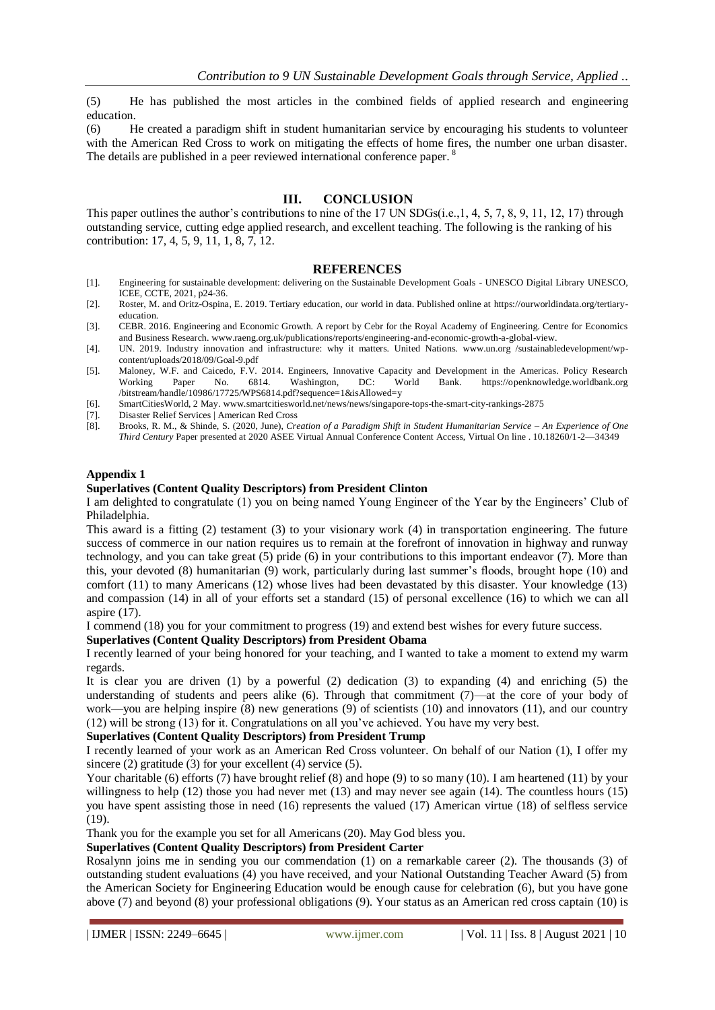(5) He has published the most articles in the combined fields of applied research and engineering education.

(6) He created a paradigm shift in student humanitarian service by encouraging his students to volunteer with the American Red Cross to work on mitigating the effects of home fires, the number one urban disaster. The details are published in a peer reviewed international conference paper.<sup>8</sup>

## **III. CONCLUSION**

This paper outlines the author's contributions to nine of the 17 UN SDGs(i.e.,1, 4, 5, 7, 8, 9, 11, 12, 17) through outstanding service, cutting edge applied research, and excellent teaching. The following is the ranking of his contribution: 17, 4, 5, 9, 11, 1, 8, 7, 12.

#### **REFERENCES**

- [1]. [Engineering for sustainable development: delivering on the Sustainable Development Goals -](https://unesdoc.unesco.org/ark:/48223/pf0000375644.locale=en) UNESCO Digital Library UNESCO, ICEE, CCTE, 2021, p24-36.
- [2]. Roster, M. and Oritz-Ospina, E. 2019. Tertiary education, our world in data. Published online at [https://ourworldindata.org/tertiary](https://ourworldindata.org/tertiary-education)[education.](https://ourworldindata.org/tertiary-education)
- [3]. CEBR. 2016. Engineering and Economic Growth. A report by Cebr for the Royal Academy of Engineering. Centre for Economics and Business Research. www.raeng.org.uk/publications/reports/engineering-and-economic-growth-a-global-view.
- [4]. UN. 2019. Industry innovation and infrastructure: why it matters. United Nations. www.un.org /sustainabledevelopment/wpcontent/uploads/2018/09/Goal-9.pdf
- [5]. Maloney, W.F. and Caicedo, F.V. 2014. Engineers, Innovative Capacity and Development in the Americas. Policy Research Working Paper No. 6814. Washington, DC: World Bank. https://openknowledge.worldbank.org /bitstream/handle/10986/17725/WPS6814.pdf?sequence=1&isAllowed=y
- [6]. SmartCitiesWorld, 2 May. [www.smartcitiesworld.net/news/news/singapore-tops-the-smart-city-rankings-2875](http://www.smartcitiesworld.net/news/news/singapore-tops-the-smart-city-rankings-2875)
- [7]. [Disaster Relief Services | American Red Cross](https://www.redcross.org/about-us/our-work/disaster-relief.html)
- [8]. Brooks, R. M., & Shinde, S. (2020, June), *Creation of a Paradigm Shift in Student Humanitarian Service – An Experience of One Third Century* Paper presented at 2020 ASEE Virtual Annual Conference Content Access, Virtual On line . 10.18260/1-2—34349

## **Appendix 1**

#### **Superlatives (Content Quality Descriptors) from President Clinton**

I am delighted to congratulate (1) you on being named Young Engineer of the Year by the Engineers' Club of Philadelphia.

This award is a fitting (2) testament (3) to your visionary work (4) in transportation engineering. The future success of commerce in our nation requires us to remain at the forefront of innovation in highway and runway technology, and you can take great (5) pride (6) in your contributions to this important endeavor (7). More than this, your devoted (8) humanitarian (9) work, particularly during last summer's floods, brought hope (10) and comfort (11) to many Americans (12) whose lives had been devastated by this disaster. Your knowledge (13) and compassion (14) in all of your efforts set a standard (15) of personal excellence (16) to which we can all aspire (17).

I commend (18) you for your commitment to progress (19) and extend best wishes for every future success.

#### **Superlatives (Content Quality Descriptors) from President Obama**

I recently learned of your being honored for your teaching, and I wanted to take a moment to extend my warm regards.

It is clear you are driven (1) by a powerful (2) dedication (3) to expanding (4) and enriching (5) the understanding of students and peers alike (6). Through that commitment (7)—at the core of your body of work—you are helping inspire (8) new generations (9) of scientists (10) and innovators (11), and our country (12) will be strong (13) for it. Congratulations on all you've achieved. You have my very best.

## **Superlatives (Content Quality Descriptors) from President Trump**

I recently learned of your work as an American Red Cross volunteer. On behalf of our Nation (1), I offer my sincere (2) gratitude (3) for your excellent (4) service (5).

Your charitable (6) efforts (7) have brought relief (8) and hope (9) to so many (10). I am heartened (11) by your willingness to help (12) those you had never met (13) and may never see again (14). The countless hours (15) you have spent assisting those in need (16) represents the valued (17) American virtue (18) of selfless service (19).

Thank you for the example you set for all Americans (20). May God bless you.

## **Superlatives (Content Quality Descriptors) from President Carter**

Rosalynn joins me in sending you our commendation (1) on a remarkable career (2). The thousands (3) of outstanding student evaluations (4) you have received, and your National Outstanding Teacher Award (5) from the American Society for Engineering Education would be enough cause for celebration (6), but you have gone above (7) and beyond (8) your professional obligations (9). Your status as an American red cross captain (10) is